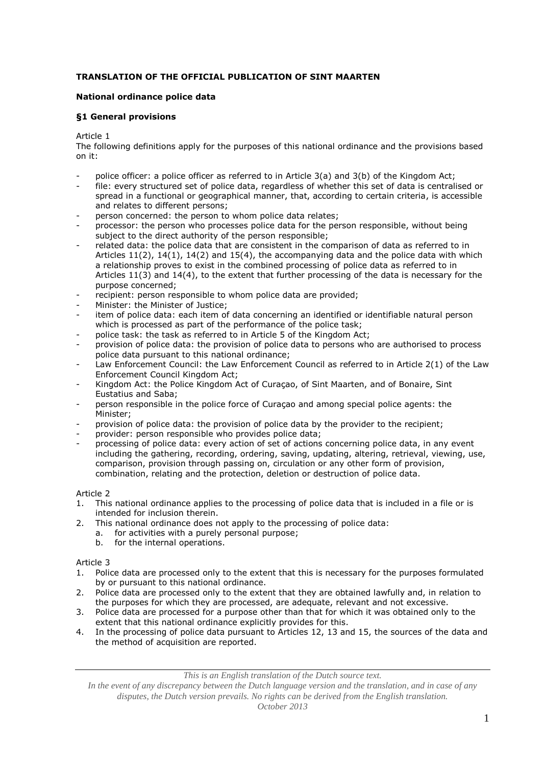# **TRANSLATION OF THE OFFICIAL PUBLICATION OF SINT MAARTEN**

#### **National ordinance police data**

#### **§1 General provisions**

Article 1

The following definitions apply for the purposes of this national ordinance and the provisions based on it:

- police officer: a police officer as referred to in Article  $3(a)$  and  $3(b)$  of the Kingdom Act;
- file: every structured set of police data, regardless of whether this set of data is centralised or spread in a functional or geographical manner, that, according to certain criteria, is accessible and relates to different persons;
- person concerned: the person to whom police data relates;
- processor: the person who processes police data for the person responsible, without being subject to the direct authority of the person responsible;
- related data: the police data that are consistent in the comparison of data as referred to in Articles  $11(2)$ ,  $14(1)$ ,  $14(2)$  and  $15(4)$ , the accompanying data and the police data with which a relationship proves to exist in the combined processing of police data as referred to in Articles 11(3) and 14(4), to the extent that further processing of the data is necessary for the purpose concerned;
- recipient: person responsible to whom police data are provided;
- Minister: the Minister of Justice;
- item of police data: each item of data concerning an identified or identifiable natural person which is processed as part of the performance of the police task;
- police task: the task as referred to in Article 5 of the Kingdom Act;
- provision of police data: the provision of police data to persons who are authorised to process police data pursuant to this national ordinance;
- Law Enforcement Council: the Law Enforcement Council as referred to in Article 2(1) of the Law Enforcement Council Kingdom Act;
- Kingdom Act: the Police Kingdom Act of Curaçao, of Sint Maarten, and of Bonaire, Sint Eustatius and Saba;
- person responsible in the police force of Curaçao and among special police agents: the Minister;
- provision of police data: the provision of police data by the provider to the recipient;
- provider: person responsible who provides police data;
- processing of police data: every action of set of actions concerning police data, in any event including the gathering, recording, ordering, saving, updating, altering, retrieval, viewing, use, comparison, provision through passing on, circulation or any other form of provision, combination, relating and the protection, deletion or destruction of police data.

### Article 2

- 1. This national ordinance applies to the processing of police data that is included in a file or is intended for inclusion therein.
- 2. This national ordinance does not apply to the processing of police data:
	- a. for activities with a purely personal purpose;
	- b. for the internal operations.

Article 3

- 1. Police data are processed only to the extent that this is necessary for the purposes formulated by or pursuant to this national ordinance.
- 2. Police data are processed only to the extent that they are obtained lawfully and, in relation to the purposes for which they are processed, are adequate, relevant and not excessive.
- 3. Police data are processed for a purpose other than that for which it was obtained only to the extent that this national ordinance explicitly provides for this.
- 4. In the processing of police data pursuant to Articles 12, 13 and 15, the sources of the data and the method of acquisition are reported.

*This is an English translation of the Dutch source text.*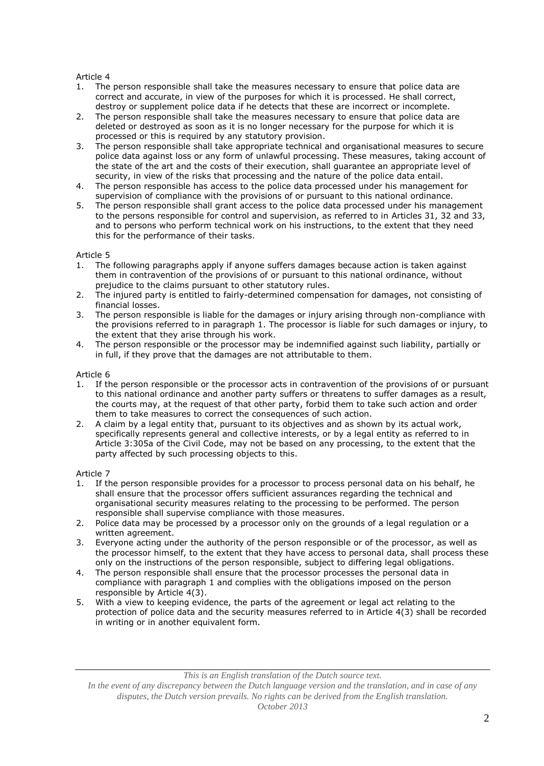- The person responsible shall take the measures necessary to ensure that police data are correct and accurate, in view of the purposes for which it is processed. He shall correct, destroy or supplement police data if he detects that these are incorrect or incomplete.
- 2. The person responsible shall take the measures necessary to ensure that police data are deleted or destroyed as soon as it is no longer necessary for the purpose for which it is processed or this is required by any statutory provision.
- 3. The person responsible shall take appropriate technical and organisational measures to secure police data against loss or any form of unlawful processing. These measures, taking account of the state of the art and the costs of their execution, shall guarantee an appropriate level of security, in view of the risks that processing and the nature of the police data entail.
- 4. The person responsible has access to the police data processed under his management for supervision of compliance with the provisions of or pursuant to this national ordinance.
- 5. The person responsible shall grant access to the police data processed under his management to the persons responsible for control and supervision, as referred to in Articles 31, 32 and 33, and to persons who perform technical work on his instructions, to the extent that they need this for the performance of their tasks.

#### Article 5

- 1. The following paragraphs apply if anyone suffers damages because action is taken against them in contravention of the provisions of or pursuant to this national ordinance, without prejudice to the claims pursuant to other statutory rules.
- 2. The injured party is entitled to fairly-determined compensation for damages, not consisting of financial losses.
- 3. The person responsible is liable for the damages or injury arising through non-compliance with the provisions referred to in paragraph 1. The processor is liable for such damages or injury, to the extent that they arise through his work.
- 4. The person responsible or the processor may be indemnified against such liability, partially or in full, if they prove that the damages are not attributable to them.

#### Article 6

- 1. If the person responsible or the processor acts in contravention of the provisions of or pursuant to this national ordinance and another party suffers or threatens to suffer damages as a result, the courts may, at the request of that other party, forbid them to take such action and order them to take measures to correct the consequences of such action.
- 2. A claim by a legal entity that, pursuant to its objectives and as shown by its actual work, specifically represents general and collective interests, or by a legal entity as referred to in Article 3:305a of the Civil Code, may not be based on any processing, to the extent that the party affected by such processing objects to this.

### Article 7

- 1. If the person responsible provides for a processor to process personal data on his behalf, he shall ensure that the processor offers sufficient assurances regarding the technical and organisational security measures relating to the processing to be performed. The person responsible shall supervise compliance with those measures.
- 2. Police data may be processed by a processor only on the grounds of a legal regulation or a written agreement.
- 3. Everyone acting under the authority of the person responsible or of the processor, as well as the processor himself, to the extent that they have access to personal data, shall process these only on the instructions of the person responsible, subject to differing legal obligations.
- 4. The person responsible shall ensure that the processor processes the personal data in compliance with paragraph 1 and complies with the obligations imposed on the person responsible by Article 4(3).
- 5. With a view to keeping evidence, the parts of the agreement or legal act relating to the protection of police data and the security measures referred to in Article 4(3) shall be recorded in writing or in another equivalent form.

*This is an English translation of the Dutch source text.*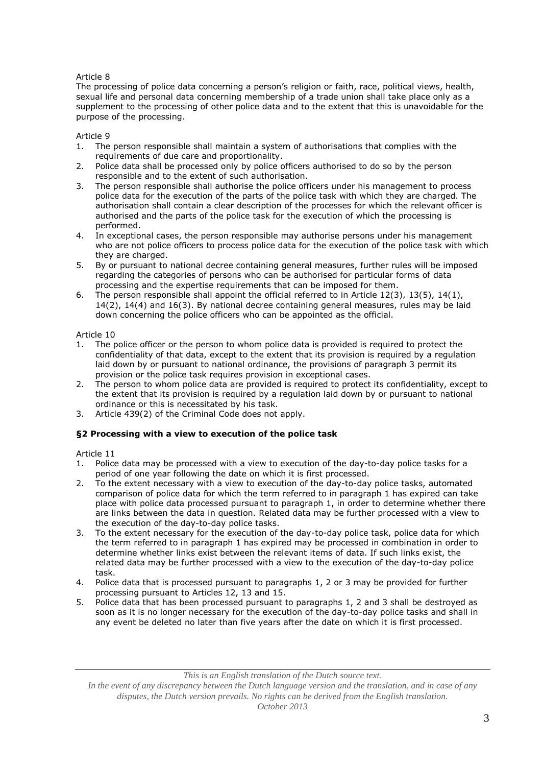The processing of police data concerning a person's religion or faith, race, political views, health, sexual life and personal data concerning membership of a trade union shall take place only as a supplement to the processing of other police data and to the extent that this is unavoidable for the purpose of the processing.

### Article 9

- 1. The person responsible shall maintain a system of authorisations that complies with the requirements of due care and proportionality.
- 2. Police data shall be processed only by police officers authorised to do so by the person responsible and to the extent of such authorisation.
- 3. The person responsible shall authorise the police officers under his management to process police data for the execution of the parts of the police task with which they are charged. The authorisation shall contain a clear description of the processes for which the relevant officer is authorised and the parts of the police task for the execution of which the processing is performed.
- 4. In exceptional cases, the person responsible may authorise persons under his management who are not police officers to process police data for the execution of the police task with which they are charged.
- 5. By or pursuant to national decree containing general measures, further rules will be imposed regarding the categories of persons who can be authorised for particular forms of data processing and the expertise requirements that can be imposed for them.
- 6. The person responsible shall appoint the official referred to in Article  $12(3)$ ,  $13(5)$ ,  $14(1)$ , 14(2), 14(4) and 16(3). By national decree containing general measures, rules may be laid down concerning the police officers who can be appointed as the official.

Article 10

- 1. The police officer or the person to whom police data is provided is required to protect the confidentiality of that data, except to the extent that its provision is required by a regulation laid down by or pursuant to national ordinance, the provisions of paragraph 3 permit its provision or the police task requires provision in exceptional cases.
- 2. The person to whom police data are provided is required to protect its confidentiality, except to the extent that its provision is required by a regulation laid down by or pursuant to national ordinance or this is necessitated by his task.
- 3. Article 439(2) of the Criminal Code does not apply.

### **§2 Processing with a view to execution of the police task**

Article 11

- 1. Police data may be processed with a view to execution of the day-to-day police tasks for a period of one year following the date on which it is first processed.
- 2. To the extent necessary with a view to execution of the day-to-day police tasks, automated comparison of police data for which the term referred to in paragraph 1 has expired can take place with police data processed pursuant to paragraph 1, in order to determine whether there are links between the data in question. Related data may be further processed with a view to the execution of the day-to-day police tasks.
- 3. To the extent necessary for the execution of the day-to-day police task, police data for which the term referred to in paragraph 1 has expired may be processed in combination in order to determine whether links exist between the relevant items of data. If such links exist, the related data may be further processed with a view to the execution of the day-to-day police task.
- 4. Police data that is processed pursuant to paragraphs 1, 2 or 3 may be provided for further processing pursuant to Articles 12, 13 and 15.
- 5. Police data that has been processed pursuant to paragraphs 1, 2 and 3 shall be destroyed as soon as it is no longer necessary for the execution of the day-to-day police tasks and shall in any event be deleted no later than five years after the date on which it is first processed.

*This is an English translation of the Dutch source text.*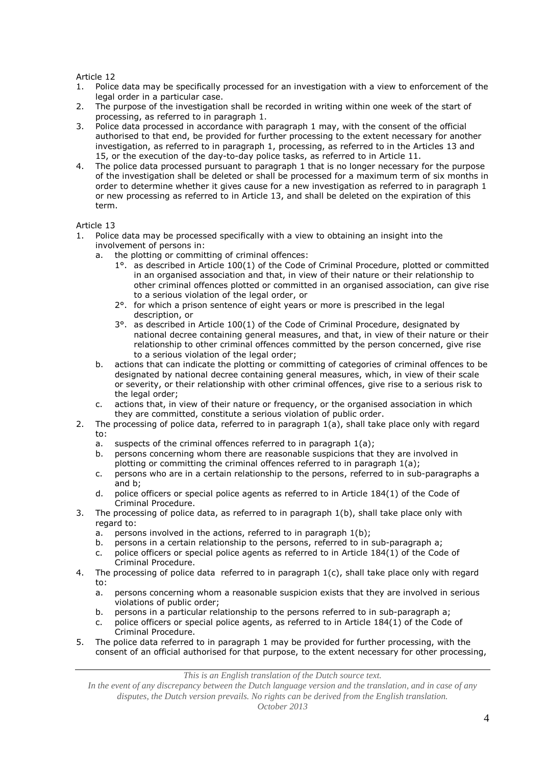- 1. Police data may be specifically processed for an investigation with a view to enforcement of the legal order in a particular case.
- 2. The purpose of the investigation shall be recorded in writing within one week of the start of processing, as referred to in paragraph 1.
- 3. Police data processed in accordance with paragraph 1 may, with the consent of the official authorised to that end, be provided for further processing to the extent necessary for another investigation, as referred to in paragraph 1, processing, as referred to in the Articles 13 and 15, or the execution of the day-to-day police tasks, as referred to in Article 11.
- 4. The police data processed pursuant to paragraph 1 that is no longer necessary for the purpose of the investigation shall be deleted or shall be processed for a maximum term of six months in order to determine whether it gives cause for a new investigation as referred to in paragraph 1 or new processing as referred to in Article 13, and shall be deleted on the expiration of this term.

Article 13

- 1. Police data may be processed specifically with a view to obtaining an insight into the involvement of persons in:
	- a. the plotting or committing of criminal offences:
		- 1°. as described in Article 100(1) of the Code of Criminal Procedure, plotted or committed in an organised association and that, in view of their nature or their relationship to other criminal offences plotted or committed in an organised association, can give rise to a serious violation of the legal order, or
		- 2°. for which a prison sentence of eight years or more is prescribed in the legal description, or
		- 3°. as described in Article 100(1) of the Code of Criminal Procedure, designated by national decree containing general measures, and that, in view of their nature or their relationship to other criminal offences committed by the person concerned, give rise to a serious violation of the legal order;
	- b. actions that can indicate the plotting or committing of categories of criminal offences to be designated by national decree containing general measures, which, in view of their scale or severity, or their relationship with other criminal offences, give rise to a serious risk to the legal order;
	- c. actions that, in view of their nature or frequency, or the organised association in which they are committed, constitute a serious violation of public order.
- 2. The processing of police data, referred to in paragraph 1(a), shall take place only with regard to:
	- a. suspects of the criminal offences referred to in paragraph 1(a);
	- b. persons concerning whom there are reasonable suspicions that they are involved in plotting or committing the criminal offences referred to in paragraph 1(a);
	- c. persons who are in a certain relationship to the persons, referred to in sub-paragraphs a and b;
	- d. police officers or special police agents as referred to in Article 184(1) of the Code of Criminal Procedure.
- 3. The processing of police data, as referred to in paragraph 1(b), shall take place only with regard to:
	- a. persons involved in the actions, referred to in paragraph 1(b);
	- b. persons in a certain relationship to the persons, referred to in sub-paragraph a;
	- c. police officers or special police agents as referred to in Article 184(1) of the Code of Criminal Procedure.
- 4. The processing of police data referred to in paragraph 1(c), shall take place only with regard to:
	- a. persons concerning whom a reasonable suspicion exists that they are involved in serious violations of public order;
	- b. persons in a particular relationship to the persons referred to in sub-paragraph a;
	- c. police officers or special police agents, as referred to in Article  $184(1)$  of the Code of Criminal Procedure.
- 5. The police data referred to in paragraph 1 may be provided for further processing, with the consent of an official authorised for that purpose, to the extent necessary for other processing,

*This is an English translation of the Dutch source text.*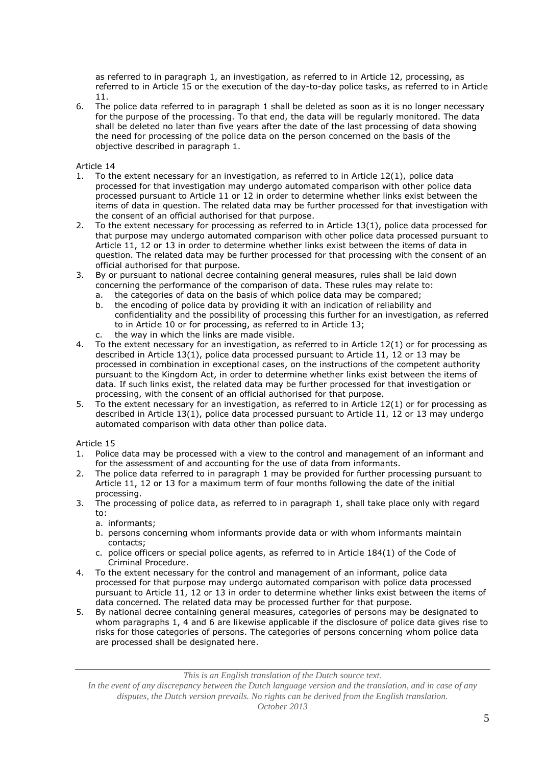as referred to in paragraph 1, an investigation, as referred to in Article 12, processing, as referred to in Article 15 or the execution of the day-to-day police tasks, as referred to in Article 11.

6. The police data referred to in paragraph 1 shall be deleted as soon as it is no longer necessary for the purpose of the processing. To that end, the data will be regularly monitored. The data shall be deleted no later than five years after the date of the last processing of data showing the need for processing of the police data on the person concerned on the basis of the objective described in paragraph 1.

Article 14

- 1. To the extent necessary for an investigation, as referred to in Article 12(1), police data processed for that investigation may undergo automated comparison with other police data processed pursuant to Article 11 or 12 in order to determine whether links exist between the items of data in question. The related data may be further processed for that investigation with the consent of an official authorised for that purpose.
- 2. To the extent necessary for processing as referred to in Article 13(1), police data processed for that purpose may undergo automated comparison with other police data processed pursuant to Article 11, 12 or 13 in order to determine whether links exist between the items of data in question. The related data may be further processed for that processing with the consent of an official authorised for that purpose.
- 3. By or pursuant to national decree containing general measures, rules shall be laid down concerning the performance of the comparison of data. These rules may relate to:
	- a. the categories of data on the basis of which police data may be compared;
	- b. the encoding of police data by providing it with an indication of reliability and confidentiality and the possibility of processing this further for an investigation, as referred to in Article 10 or for processing, as referred to in Article 13;
	- c. the way in which the links are made visible.
- 4. To the extent necessary for an investigation, as referred to in Article 12(1) or for processing as described in Article 13(1), police data processed pursuant to Article 11, 12 or 13 may be processed in combination in exceptional cases, on the instructions of the competent authority pursuant to the Kingdom Act, in order to determine whether links exist between the items of data. If such links exist, the related data may be further processed for that investigation or processing, with the consent of an official authorised for that purpose.
- 5. To the extent necessary for an investigation, as referred to in Article 12(1) or for processing as described in Article 13(1), police data processed pursuant to Article 11, 12 or 13 may undergo automated comparison with data other than police data.

### Article 15

- 1. Police data may be processed with a view to the control and management of an informant and for the assessment of and accounting for the use of data from informants.
- 2. The police data referred to in paragraph 1 may be provided for further processing pursuant to Article 11, 12 or 13 for a maximum term of four months following the date of the initial processing.
- 3. The processing of police data, as referred to in paragraph 1, shall take place only with regard to:
	- a. informants;
	- b. persons concerning whom informants provide data or with whom informants maintain contacts;
	- c. police officers or special police agents, as referred to in Article 184(1) of the Code of Criminal Procedure.
- 4. To the extent necessary for the control and management of an informant, police data processed for that purpose may undergo automated comparison with police data processed pursuant to Article 11, 12 or 13 in order to determine whether links exist between the items of data concerned. The related data may be processed further for that purpose.
- 5. By national decree containing general measures, categories of persons may be designated to whom paragraphs 1, 4 and 6 are likewise applicable if the disclosure of police data gives rise to risks for those categories of persons. The categories of persons concerning whom police data are processed shall be designated here.

*This is an English translation of the Dutch source text.*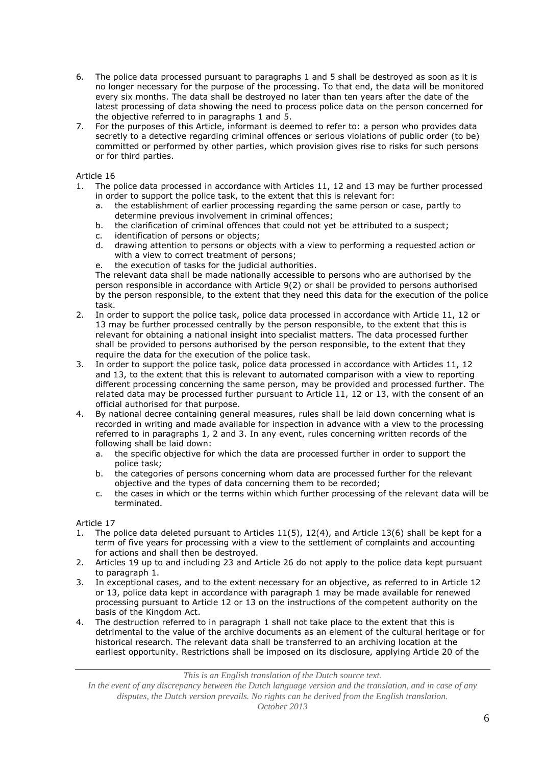- 6. The police data processed pursuant to paragraphs 1 and 5 shall be destroyed as soon as it is no longer necessary for the purpose of the processing. To that end, the data will be monitored every six months. The data shall be destroyed no later than ten years after the date of the latest processing of data showing the need to process police data on the person concerned for the objective referred to in paragraphs 1 and 5.
- 7. For the purposes of this Article, informant is deemed to refer to: a person who provides data secretly to a detective regarding criminal offences or serious violations of public order (to be) committed or performed by other parties, which provision gives rise to risks for such persons or for third parties.

- 1. The police data processed in accordance with Articles 11, 12 and 13 may be further processed in order to support the police task, to the extent that this is relevant for:
	- a. the establishment of earlier processing regarding the same person or case, partly to determine previous involvement in criminal offences;
	- b. the clarification of criminal offences that could not yet be attributed to a suspect;
	- c. identification of persons or objects;
	- d. drawing attention to persons or objects with a view to performing a requested action or with a view to correct treatment of persons;
	- e. the execution of tasks for the judicial authorities.

The relevant data shall be made nationally accessible to persons who are authorised by the person responsible in accordance with Article 9(2) or shall be provided to persons authorised by the person responsible, to the extent that they need this data for the execution of the police task.

- 2. In order to support the police task, police data processed in accordance with Article 11, 12 or 13 may be further processed centrally by the person responsible, to the extent that this is relevant for obtaining a national insight into specialist matters. The data processed further shall be provided to persons authorised by the person responsible, to the extent that they require the data for the execution of the police task.
- 3. In order to support the police task, police data processed in accordance with Articles 11, 12 and 13, to the extent that this is relevant to automated comparison with a view to reporting different processing concerning the same person, may be provided and processed further. The related data may be processed further pursuant to Article 11, 12 or 13, with the consent of an official authorised for that purpose.
- 4. By national decree containing general measures, rules shall be laid down concerning what is recorded in writing and made available for inspection in advance with a view to the processing referred to in paragraphs 1, 2 and 3. In any event, rules concerning written records of the following shall be laid down:
	- a. the specific objective for which the data are processed further in order to support the police task;
	- b. the categories of persons concerning whom data are processed further for the relevant objective and the types of data concerning them to be recorded;
	- c. the cases in which or the terms within which further processing of the relevant data will be terminated.

Article 17

- 1. The police data deleted pursuant to Articles 11(5), 12(4), and Article 13(6) shall be kept for a term of five years for processing with a view to the settlement of complaints and accounting for actions and shall then be destroyed.
- 2. Articles 19 up to and including 23 and Article 26 do not apply to the police data kept pursuant to paragraph 1.
- 3. In exceptional cases, and to the extent necessary for an objective, as referred to in Article 12 or 13, police data kept in accordance with paragraph 1 may be made available for renewed processing pursuant to Article 12 or 13 on the instructions of the competent authority on the basis of the Kingdom Act.
- 4. The destruction referred to in paragraph 1 shall not take place to the extent that this is detrimental to the value of the archive documents as an element of the cultural heritage or for historical research. The relevant data shall be transferred to an archiving location at the earliest opportunity. Restrictions shall be imposed on its disclosure, applying Article 20 of the

*This is an English translation of the Dutch source text.*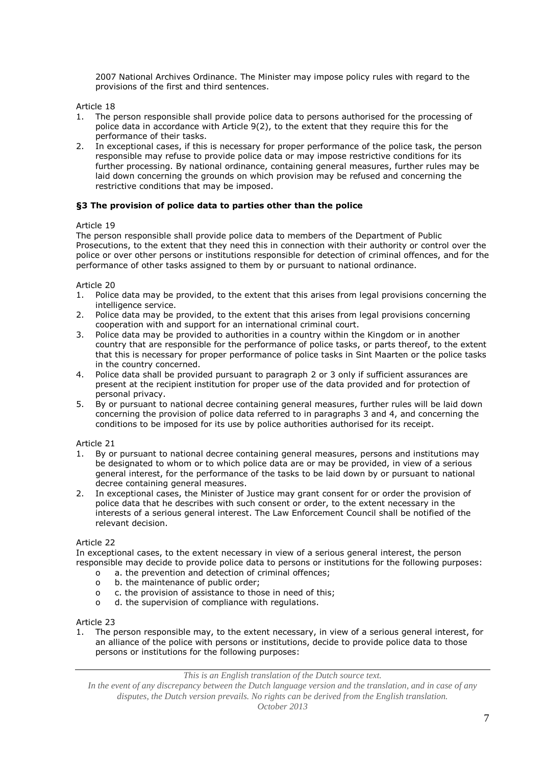2007 National Archives Ordinance. The Minister may impose policy rules with regard to the provisions of the first and third sentences.

Article 18

- 1. The person responsible shall provide police data to persons authorised for the processing of police data in accordance with Article 9(2), to the extent that they require this for the performance of their tasks.
- 2. In exceptional cases, if this is necessary for proper performance of the police task, the person responsible may refuse to provide police data or may impose restrictive conditions for its further processing. By national ordinance, containing general measures, further rules may be laid down concerning the grounds on which provision may be refused and concerning the restrictive conditions that may be imposed.

## **§3 The provision of police data to parties other than the police**

### Article 19

The person responsible shall provide police data to members of the Department of Public Prosecutions, to the extent that they need this in connection with their authority or control over the police or over other persons or institutions responsible for detection of criminal offences, and for the performance of other tasks assigned to them by or pursuant to national ordinance.

Article 20

- 1. Police data may be provided, to the extent that this arises from legal provisions concerning the intelligence service.
- 2. Police data may be provided, to the extent that this arises from legal provisions concerning cooperation with and support for an international criminal court.
- 3. Police data may be provided to authorities in a country within the Kingdom or in another country that are responsible for the performance of police tasks, or parts thereof, to the extent that this is necessary for proper performance of police tasks in Sint Maarten or the police tasks in the country concerned.
- 4. Police data shall be provided pursuant to paragraph 2 or 3 only if sufficient assurances are present at the recipient institution for proper use of the data provided and for protection of personal privacy.
- 5. By or pursuant to national decree containing general measures, further rules will be laid down concerning the provision of police data referred to in paragraphs 3 and 4, and concerning the conditions to be imposed for its use by police authorities authorised for its receipt.

Article 21

- 1. By or pursuant to national decree containing general measures, persons and institutions may be designated to whom or to which police data are or may be provided, in view of a serious general interest, for the performance of the tasks to be laid down by or pursuant to national decree containing general measures.
- 2. In exceptional cases, the Minister of Justice may grant consent for or order the provision of police data that he describes with such consent or order, to the extent necessary in the interests of a serious general interest. The Law Enforcement Council shall be notified of the relevant decision.

Article 22

In exceptional cases, to the extent necessary in view of a serious general interest, the person responsible may decide to provide police data to persons or institutions for the following purposes:

- o a. the prevention and detection of criminal offences;
- o b. the maintenance of public order;
- o c. the provision of assistance to those in need of this;
- o d. the supervision of compliance with regulations.

Article 23

1. The person responsible may, to the extent necessary, in view of a serious general interest, for an alliance of the police with persons or institutions, decide to provide police data to those persons or institutions for the following purposes:

*This is an English translation of the Dutch source text.*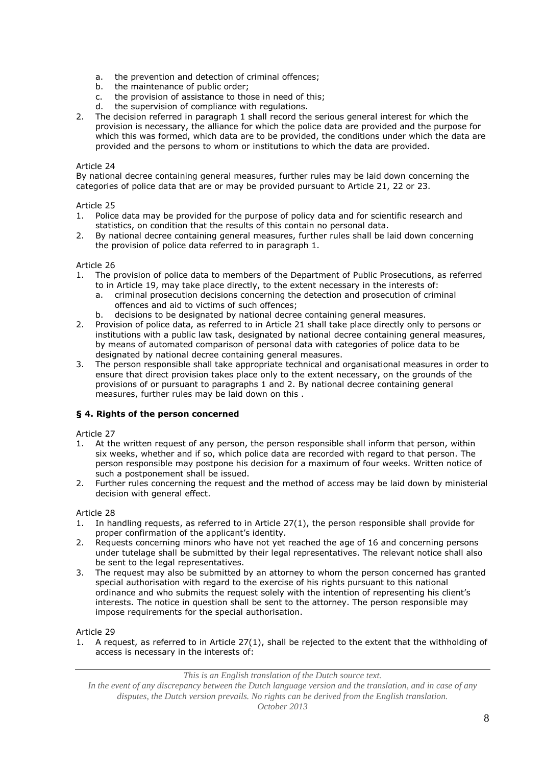- a. the prevention and detection of criminal offences;<br>b. the maintenance of public order;
- the maintenance of public order;
- c. the provision of assistance to those in need of this;<br>d. the supervision of compliance with requiations.
- the supervision of compliance with regulations.
- 2. The decision referred in paragraph 1 shall record the serious general interest for which the provision is necessary, the alliance for which the police data are provided and the purpose for which this was formed, which data are to be provided, the conditions under which the data are provided and the persons to whom or institutions to which the data are provided.

By national decree containing general measures, further rules may be laid down concerning the categories of police data that are or may be provided pursuant to Article 21, 22 or 23.

### Article 25

- 1. Police data may be provided for the purpose of policy data and for scientific research and statistics, on condition that the results of this contain no personal data.
- 2. By national decree containing general measures, further rules shall be laid down concerning the provision of police data referred to in paragraph 1.

#### Article 26

- 1. The provision of police data to members of the Department of Public Prosecutions, as referred to in Article 19, may take place directly, to the extent necessary in the interests of:
	- a. criminal prosecution decisions concerning the detection and prosecution of criminal offences and aid to victims of such offences;
	- b. decisions to be designated by national decree containing general measures.
- 2. Provision of police data, as referred to in Article 21 shall take place directly only to persons or institutions with a public law task, designated by national decree containing general measures, by means of automated comparison of personal data with categories of police data to be designated by national decree containing general measures.
- 3. The person responsible shall take appropriate technical and organisational measures in order to ensure that direct provision takes place only to the extent necessary, on the grounds of the provisions of or pursuant to paragraphs 1 and 2. By national decree containing general measures, further rules may be laid down on this .

### **§ 4. Rights of the person concerned**

### Article 27

- 1. At the written request of any person, the person responsible shall inform that person, within six weeks, whether and if so, which police data are recorded with regard to that person. The person responsible may postpone his decision for a maximum of four weeks. Written notice of such a postponement shall be issued.
- 2. Further rules concerning the request and the method of access may be laid down by ministerial decision with general effect.

### Article 28

- 1. In handling requests, as referred to in Article 27(1), the person responsible shall provide for proper confirmation of the applicant's identity.
- 2. Requests concerning minors who have not yet reached the age of 16 and concerning persons under tutelage shall be submitted by their legal representatives. The relevant notice shall also be sent to the legal representatives.
- 3. The request may also be submitted by an attorney to whom the person concerned has granted special authorisation with regard to the exercise of his rights pursuant to this national ordinance and who submits the request solely with the intention of representing his client's interests. The notice in question shall be sent to the attorney. The person responsible may impose requirements for the special authorisation.

### Article 29

1. A request, as referred to in Article 27(1), shall be rejected to the extent that the withholding of access is necessary in the interests of:

*This is an English translation of the Dutch source text.*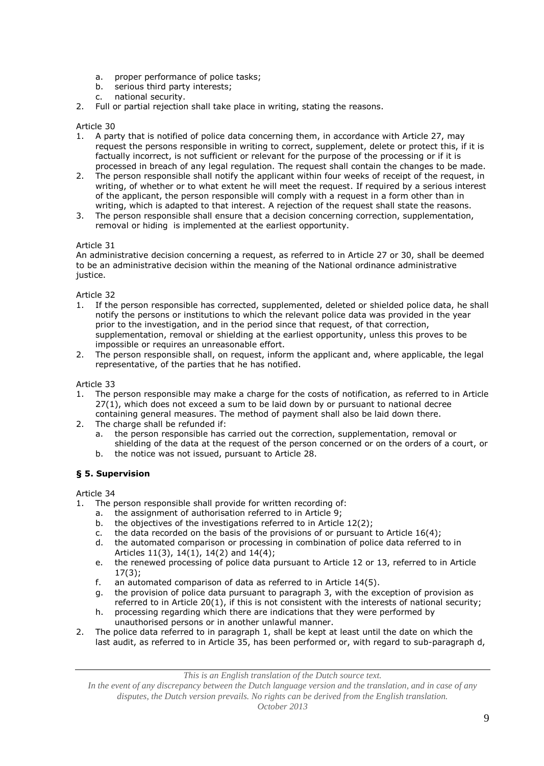- a. proper performance of police tasks;
- b. serious third party interests;
- c. national security.
- 2. Full or partial rejection shall take place in writing, stating the reasons.

- 1. A party that is notified of police data concerning them, in accordance with Article 27, may request the persons responsible in writing to correct, supplement, delete or protect this, if it is factually incorrect, is not sufficient or relevant for the purpose of the processing or if it is processed in breach of any legal regulation. The request shall contain the changes to be made.
- 2. The person responsible shall notify the applicant within four weeks of receipt of the request, in writing, of whether or to what extent he will meet the request. If required by a serious interest of the applicant, the person responsible will comply with a request in a form other than in writing, which is adapted to that interest. A rejection of the request shall state the reasons.
- 3. The person responsible shall ensure that a decision concerning correction, supplementation, removal or hiding is implemented at the earliest opportunity.

#### Article 31

An administrative decision concerning a request, as referred to in Article 27 or 30, shall be deemed to be an administrative decision within the meaning of the National ordinance administrative justice.

Article 32

- 1. If the person responsible has corrected, supplemented, deleted or shielded police data, he shall notify the persons or institutions to which the relevant police data was provided in the year prior to the investigation, and in the period since that request, of that correction, supplementation, removal or shielding at the earliest opportunity, unless this proves to be impossible or requires an unreasonable effort.
- 2. The person responsible shall, on request, inform the applicant and, where applicable, the legal representative, of the parties that he has notified.

Article 33

- 1. The person responsible may make a charge for the costs of notification, as referred to in Article 27(1), which does not exceed a sum to be laid down by or pursuant to national decree containing general measures. The method of payment shall also be laid down there.
- 2. The charge shall be refunded if:
	- a. the person responsible has carried out the correction, supplementation, removal or shielding of the data at the request of the person concerned or on the orders of a court, or
	- b. the notice was not issued, pursuant to Article 28.

### **§ 5. Supervision**

Article 34

- 1. The person responsible shall provide for written recording of:
	- a. the assignment of authorisation referred to in Article 9;
	- b. the objectives of the investigations referred to in Article 12(2);
	- c. the data recorded on the basis of the provisions of or pursuant to Article  $16(4)$ ;
	- d. the automated comparison or processing in combination of police data referred to in Articles 11(3), 14(1), 14(2) and 14(4);
	- e. the renewed processing of police data pursuant to Article 12 or 13, referred to in Article 17(3);
	- f. an automated comparison of data as referred to in Article 14(5).
	- g. the provision of police data pursuant to paragraph 3, with the exception of provision as referred to in Article 20(1), if this is not consistent with the interests of national security;
	- h. processing regarding which there are indications that they were performed by unauthorised persons or in another unlawful manner.
- 2. The police data referred to in paragraph 1, shall be kept at least until the date on which the last audit, as referred to in Article 35, has been performed or, with regard to sub-paragraph d,

*This is an English translation of the Dutch source text.*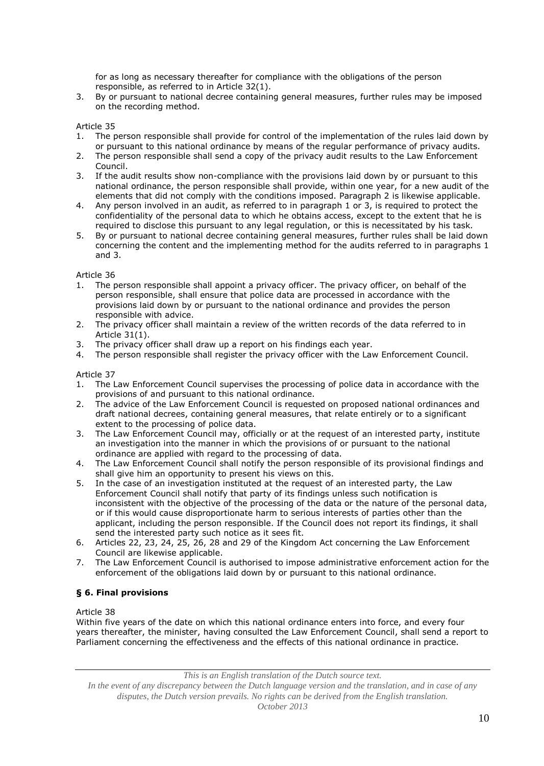for as long as necessary thereafter for compliance with the obligations of the person responsible, as referred to in Article 32(1).

3. By or pursuant to national decree containing general measures, further rules may be imposed on the recording method.

Article 35

- 1. The person responsible shall provide for control of the implementation of the rules laid down by or pursuant to this national ordinance by means of the regular performance of privacy audits.
- 2. The person responsible shall send a copy of the privacy audit results to the Law Enforcement Council.
- 3. If the audit results show non-compliance with the provisions laid down by or pursuant to this national ordinance, the person responsible shall provide, within one year, for a new audit of the elements that did not comply with the conditions imposed. Paragraph 2 is likewise applicable.
- 4. Any person involved in an audit, as referred to in paragraph 1 or 3, is required to protect the confidentiality of the personal data to which he obtains access, except to the extent that he is required to disclose this pursuant to any legal regulation, or this is necessitated by his task.
- 5. By or pursuant to national decree containing general measures, further rules shall be laid down concerning the content and the implementing method for the audits referred to in paragraphs 1 and 3.

Article 36

- 1. The person responsible shall appoint a privacy officer. The privacy officer, on behalf of the person responsible, shall ensure that police data are processed in accordance with the provisions laid down by or pursuant to the national ordinance and provides the person responsible with advice.
- 2. The privacy officer shall maintain a review of the written records of the data referred to in Article 31(1).
- 3. The privacy officer shall draw up a report on his findings each year.
- 4. The person responsible shall register the privacy officer with the Law Enforcement Council.

#### Article 37

- 1. The Law Enforcement Council supervises the processing of police data in accordance with the provisions of and pursuant to this national ordinance.
- 2. The advice of the Law Enforcement Council is requested on proposed national ordinances and draft national decrees, containing general measures, that relate entirely or to a significant extent to the processing of police data.
- 3. The Law Enforcement Council may, officially or at the request of an interested party, institute an investigation into the manner in which the provisions of or pursuant to the national ordinance are applied with regard to the processing of data.
- 4. The Law Enforcement Council shall notify the person responsible of its provisional findings and shall give him an opportunity to present his views on this.
- 5. In the case of an investigation instituted at the request of an interested party, the Law Enforcement Council shall notify that party of its findings unless such notification is inconsistent with the objective of the processing of the data or the nature of the personal data, or if this would cause disproportionate harm to serious interests of parties other than the applicant, including the person responsible. If the Council does not report its findings, it shall send the interested party such notice as it sees fit.
- 6. Articles 22, 23, 24, 25, 26, 28 and 29 of the Kingdom Act concerning the Law Enforcement Council are likewise applicable.
- 7. The Law Enforcement Council is authorised to impose administrative enforcement action for the enforcement of the obligations laid down by or pursuant to this national ordinance.

### **§ 6. Final provisions**

Article 38

Within five years of the date on which this national ordinance enters into force, and every four years thereafter, the minister, having consulted the Law Enforcement Council, shall send a report to Parliament concerning the effectiveness and the effects of this national ordinance in practice.

*This is an English translation of the Dutch source text.*